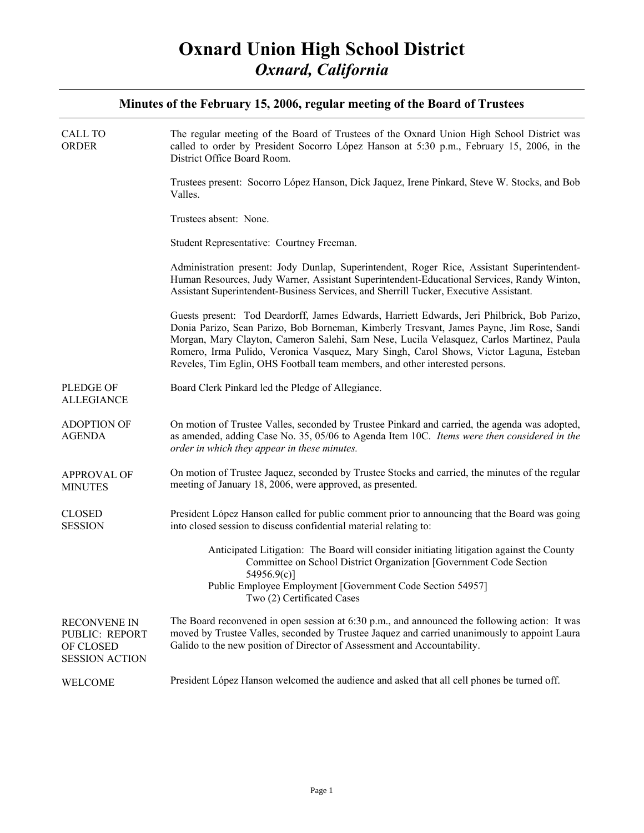| <b>CALL TO</b><br><b>ORDER</b>                                              | The regular meeting of the Board of Trustees of the Oxnard Union High School District was<br>called to order by President Socorro López Hanson at 5:30 p.m., February 15, 2006, in the<br>District Office Board Room.                                                                                                                                                                                                                                         |
|-----------------------------------------------------------------------------|---------------------------------------------------------------------------------------------------------------------------------------------------------------------------------------------------------------------------------------------------------------------------------------------------------------------------------------------------------------------------------------------------------------------------------------------------------------|
|                                                                             | Trustees present: Socorro López Hanson, Dick Jaquez, Irene Pinkard, Steve W. Stocks, and Bob<br>Valles.                                                                                                                                                                                                                                                                                                                                                       |
|                                                                             | Trustees absent: None.                                                                                                                                                                                                                                                                                                                                                                                                                                        |
|                                                                             | Student Representative: Courtney Freeman.                                                                                                                                                                                                                                                                                                                                                                                                                     |
|                                                                             | Administration present: Jody Dunlap, Superintendent, Roger Rice, Assistant Superintendent-<br>Human Resources, Judy Warner, Assistant Superintendent-Educational Services, Randy Winton,<br>Assistant Superintendent-Business Services, and Sherrill Tucker, Executive Assistant.                                                                                                                                                                             |
|                                                                             | Guests present: Tod Deardorff, James Edwards, Harriett Edwards, Jeri Philbrick, Bob Parizo,<br>Donia Parizo, Sean Parizo, Bob Borneman, Kimberly Tresvant, James Payne, Jim Rose, Sandi<br>Morgan, Mary Clayton, Cameron Salehi, Sam Nese, Lucila Velasquez, Carlos Martinez, Paula<br>Romero, Irma Pulido, Veronica Vasquez, Mary Singh, Carol Shows, Victor Laguna, Esteban<br>Reveles, Tim Eglin, OHS Football team members, and other interested persons. |
| PLEDGE OF<br><b>ALLEGIANCE</b>                                              | Board Clerk Pinkard led the Pledge of Allegiance.                                                                                                                                                                                                                                                                                                                                                                                                             |
| <b>ADOPTION OF</b><br><b>AGENDA</b>                                         | On motion of Trustee Valles, seconded by Trustee Pinkard and carried, the agenda was adopted,<br>as amended, adding Case No. 35, 05/06 to Agenda Item 10C. Items were then considered in the<br>order in which they appear in these minutes.                                                                                                                                                                                                                  |
| <b>APPROVAL OF</b><br><b>MINUTES</b>                                        | On motion of Trustee Jaquez, seconded by Trustee Stocks and carried, the minutes of the regular<br>meeting of January 18, 2006, were approved, as presented.                                                                                                                                                                                                                                                                                                  |
| <b>CLOSED</b><br><b>SESSION</b>                                             | President López Hanson called for public comment prior to announcing that the Board was going<br>into closed session to discuss confidential material relating to:                                                                                                                                                                                                                                                                                            |
|                                                                             | Anticipated Litigation: The Board will consider initiating litigation against the County<br>Committee on School District Organization [Government Code Section]<br>54956.9(c)]<br>Public Employee Employment [Government Code Section 54957]<br>Two (2) Certificated Cases                                                                                                                                                                                    |
| <b>RECONVENE IN</b><br>PUBLIC: REPORT<br>OF CLOSED<br><b>SESSION ACTION</b> | The Board reconvened in open session at $6:30$ p.m., and announced the following action: It was<br>moved by Trustee Valles, seconded by Trustee Jaquez and carried unanimously to appoint Laura<br>Galido to the new position of Director of Assessment and Accountability.                                                                                                                                                                                   |
| WELCOME                                                                     | President López Hanson welcomed the audience and asked that all cell phones be turned off.                                                                                                                                                                                                                                                                                                                                                                    |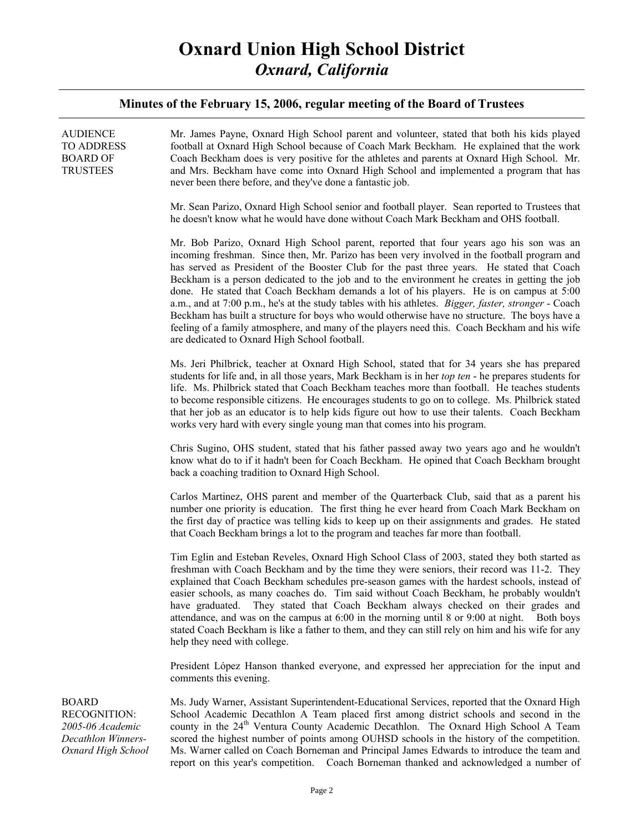| <b>AUDIENCE</b><br><b>TO ADDRESS</b><br><b>BOARD OF</b><br><b>TRUSTEES</b>                          | Mr. James Payne, Oxnard High School parent and volunteer, stated that both his kids played<br>football at Oxnard High School because of Coach Mark Beckham. He explained that the work<br>Coach Beckham does is very positive for the athletes and parents at Oxnard High School. Mr.<br>and Mrs. Beckham have come into Oxnard High School and implemented a program that has<br>never been there before, and they've done a fantastic job.                                                                                                                                                                                                                                                                                                                                                                                                        |
|-----------------------------------------------------------------------------------------------------|-----------------------------------------------------------------------------------------------------------------------------------------------------------------------------------------------------------------------------------------------------------------------------------------------------------------------------------------------------------------------------------------------------------------------------------------------------------------------------------------------------------------------------------------------------------------------------------------------------------------------------------------------------------------------------------------------------------------------------------------------------------------------------------------------------------------------------------------------------|
|                                                                                                     | Mr. Sean Parizo, Oxnard High School senior and football player. Sean reported to Trustees that<br>he doesn't know what he would have done without Coach Mark Beckham and OHS football.                                                                                                                                                                                                                                                                                                                                                                                                                                                                                                                                                                                                                                                              |
|                                                                                                     | Mr. Bob Parizo, Oxnard High School parent, reported that four years ago his son was an<br>incoming freshman. Since then, Mr. Parizo has been very involved in the football program and<br>has served as President of the Booster Club for the past three years. He stated that Coach<br>Beckham is a person dedicated to the job and to the environment he creates in getting the job<br>done. He stated that Coach Beckham demands a lot of his players. He is on campus at 5:00<br>a.m., and at 7:00 p.m., he's at the study tables with his athletes. <i>Bigger, faster, stronger</i> - Coach<br>Beckham has built a structure for boys who would otherwise have no structure. The boys have a<br>feeling of a family atmosphere, and many of the players need this. Coach Beckham and his wife<br>are dedicated to Oxnard High School football. |
|                                                                                                     | Ms. Jeri Philbrick, teacher at Oxnard High School, stated that for 34 years she has prepared<br>students for life and, in all those years, Mark Beckham is in her top ten - he prepares students for<br>life. Ms. Philbrick stated that Coach Beckham teaches more than football. He teaches students<br>to become responsible citizens. He encourages students to go on to college. Ms. Philbrick stated<br>that her job as an educator is to help kids figure out how to use their talents. Coach Beckham<br>works very hard with every single young man that comes into his program.                                                                                                                                                                                                                                                             |
|                                                                                                     | Chris Sugino, OHS student, stated that his father passed away two years ago and he wouldn't<br>know what do to if it hadn't been for Coach Beckham. He opined that Coach Beckham brought<br>back a coaching tradition to Oxnard High School.                                                                                                                                                                                                                                                                                                                                                                                                                                                                                                                                                                                                        |
|                                                                                                     | Carlos Martinez, OHS parent and member of the Quarterback Club, said that as a parent his<br>number one priority is education. The first thing he ever heard from Coach Mark Beckham on<br>the first day of practice was telling kids to keep up on their assignments and grades. He stated<br>that Coach Beckham brings a lot to the program and teaches far more than football.                                                                                                                                                                                                                                                                                                                                                                                                                                                                   |
|                                                                                                     | Tim Eglin and Esteban Reveles, Oxnard High School Class of 2003, stated they both started as<br>freshman with Coach Beckham and by the time they were seniors, their record was 11-2. They<br>explained that Coach Beckham schedules pre-season games with the hardest schools, instead of<br>easier schools, as many coaches do. Tim said without Coach Beckham, he probably wouldn't<br>have graduated. They stated that Coach Beckham always checked on their grades and<br>attendance, and was on the campus at 6:00 in the morning until 8 or 9:00 at night.<br>Both boys<br>stated Coach Beckham is like a father to them, and they can still rely on him and his wife for any<br>help they need with college.                                                                                                                                |
|                                                                                                     | President López Hanson thanked everyone, and expressed her appreciation for the input and<br>comments this evening.                                                                                                                                                                                                                                                                                                                                                                                                                                                                                                                                                                                                                                                                                                                                 |
| <b>BOARD</b><br><b>RECOGNITION:</b><br>2005-06 Academic<br>Decathlon Winners-<br>Oxnard High School | Ms. Judy Warner, Assistant Superintendent-Educational Services, reported that the Oxnard High<br>School Academic Decathlon A Team placed first among district schools and second in the<br>county in the 24 <sup>th</sup> Ventura County Academic Decathlon. The Oxnard High School A Team<br>scored the highest number of points among OUHSD schools in the history of the competition.<br>Ms. Warner called on Coach Borneman and Principal James Edwards to introduce the team and<br>report on this year's competition. Coach Borneman thanked and acknowledged a number of                                                                                                                                                                                                                                                                     |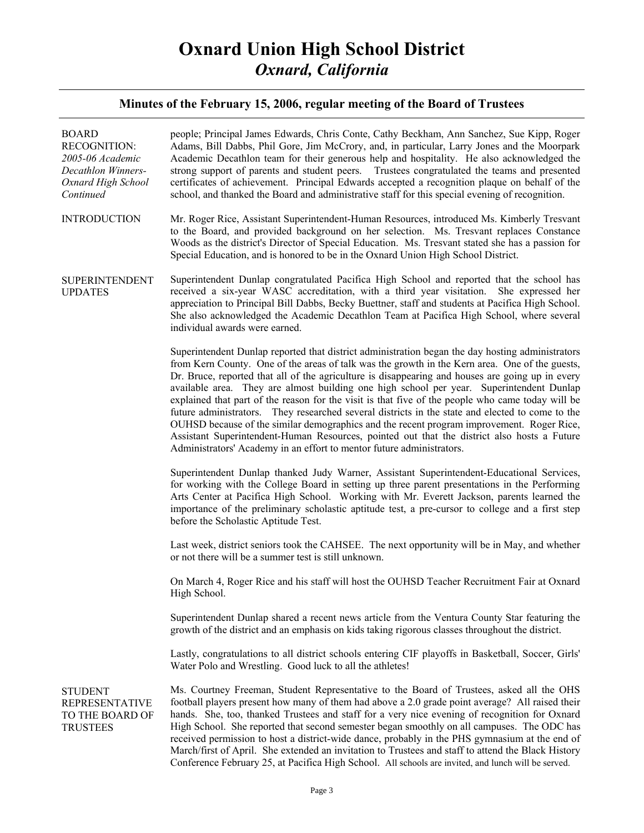| <b>BOARD</b><br><b>RECOGNITION:</b><br>2005-06 Academic<br>Decathlon Winners-<br>Oxnard High School<br>Continued | people; Principal James Edwards, Chris Conte, Cathy Beckham, Ann Sanchez, Sue Kipp, Roger<br>Adams, Bill Dabbs, Phil Gore, Jim McCrory, and, in particular, Larry Jones and the Moorpark<br>Academic Decathlon team for their generous help and hospitality. He also acknowledged the<br>strong support of parents and student peers. Trustees congratulated the teams and presented<br>certificates of achievement. Principal Edwards accepted a recognition plaque on behalf of the<br>school, and thanked the Board and administrative staff for this special evening of recognition.                                                                                                                                                                                                                                                                                         |
|------------------------------------------------------------------------------------------------------------------|----------------------------------------------------------------------------------------------------------------------------------------------------------------------------------------------------------------------------------------------------------------------------------------------------------------------------------------------------------------------------------------------------------------------------------------------------------------------------------------------------------------------------------------------------------------------------------------------------------------------------------------------------------------------------------------------------------------------------------------------------------------------------------------------------------------------------------------------------------------------------------|
| <b>INTRODUCTION</b>                                                                                              | Mr. Roger Rice, Assistant Superintendent-Human Resources, introduced Ms. Kimberly Tresvant<br>to the Board, and provided background on her selection. Ms. Tresvant replaces Constance<br>Woods as the district's Director of Special Education. Ms. Tresvant stated she has a passion for<br>Special Education, and is honored to be in the Oxnard Union High School District.                                                                                                                                                                                                                                                                                                                                                                                                                                                                                                   |
| <b>SUPERINTENDENT</b><br><b>UPDATES</b>                                                                          | Superintendent Dunlap congratulated Pacifica High School and reported that the school has<br>received a six-year WASC accreditation, with a third year visitation. She expressed her<br>appreciation to Principal Bill Dabbs, Becky Buettner, staff and students at Pacifica High School.<br>She also acknowledged the Academic Decathlon Team at Pacifica High School, where several<br>individual awards were earned.                                                                                                                                                                                                                                                                                                                                                                                                                                                          |
|                                                                                                                  | Superintendent Dunlap reported that district administration began the day hosting administrators<br>from Kern County. One of the areas of talk was the growth in the Kern area. One of the guests,<br>Dr. Bruce, reported that all of the agriculture is disappearing and houses are going up in every<br>available area. They are almost building one high school per year. Superintendent Dunlap<br>explained that part of the reason for the visit is that five of the people who came today will be<br>future administrators. They researched several districts in the state and elected to come to the<br>OUHSD because of the similar demographics and the recent program improvement. Roger Rice,<br>Assistant Superintendent-Human Resources, pointed out that the district also hosts a Future<br>Administrators' Academy in an effort to mentor future administrators. |
|                                                                                                                  | Superintendent Dunlap thanked Judy Warner, Assistant Superintendent-Educational Services,<br>for working with the College Board in setting up three parent presentations in the Performing<br>Arts Center at Pacifica High School. Working with Mr. Everett Jackson, parents learned the<br>importance of the preliminary scholastic aptitude test, a pre-cursor to college and a first step<br>before the Scholastic Aptitude Test.                                                                                                                                                                                                                                                                                                                                                                                                                                             |
|                                                                                                                  | Last week, district seniors took the CAHSEE. The next opportunity will be in May, and whether<br>or not there will be a summer test is still unknown.                                                                                                                                                                                                                                                                                                                                                                                                                                                                                                                                                                                                                                                                                                                            |
|                                                                                                                  | On March 4, Roger Rice and his staff will host the OUHSD Teacher Recruitment Fair at Oxnard<br>High School.                                                                                                                                                                                                                                                                                                                                                                                                                                                                                                                                                                                                                                                                                                                                                                      |
|                                                                                                                  | Superintendent Dunlap shared a recent news article from the Ventura County Star featuring the<br>growth of the district and an emphasis on kids taking rigorous classes throughout the district.                                                                                                                                                                                                                                                                                                                                                                                                                                                                                                                                                                                                                                                                                 |
|                                                                                                                  | Lastly, congratulations to all district schools entering CIF playoffs in Basketball, Soccer, Girls'<br>Water Polo and Wrestling. Good luck to all the athletes!                                                                                                                                                                                                                                                                                                                                                                                                                                                                                                                                                                                                                                                                                                                  |
| <b>STUDENT</b><br><b>REPRESENTATIVE</b><br>TO THE BOARD OF<br><b>TRUSTEES</b>                                    | Ms. Courtney Freeman, Student Representative to the Board of Trustees, asked all the OHS<br>football players present how many of them had above a 2.0 grade point average? All raised their<br>hands. She, too, thanked Trustees and staff for a very nice evening of recognition for Oxnard<br>High School. She reported that second semester began smoothly on all campuses. The ODC has<br>received permission to host a district-wide dance, probably in the PHS gymnasium at the end of<br>March/first of April. She extended an invitation to Trustees and staff to attend the Black History<br>Conference February 25, at Pacifica High School. All schools are invited, and lunch will be served.                                                                                                                                                                        |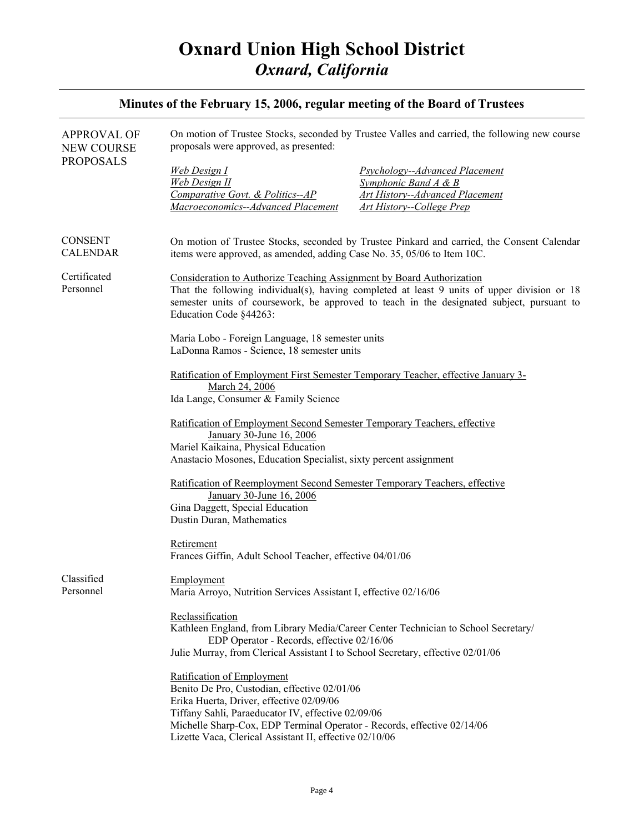| Minutes of the February 15, 2006, regular meeting of the Board of Trustees |                                                                                                                                                                                                                                                                                                                    |                                                                                                                                                                                          |
|----------------------------------------------------------------------------|--------------------------------------------------------------------------------------------------------------------------------------------------------------------------------------------------------------------------------------------------------------------------------------------------------------------|------------------------------------------------------------------------------------------------------------------------------------------------------------------------------------------|
| <b>APPROVAL OF</b><br><b>NEW COURSE</b>                                    | On motion of Trustee Stocks, seconded by Trustee Valles and carried, the following new course<br>proposals were approved, as presented:                                                                                                                                                                            |                                                                                                                                                                                          |
| <b>PROPOSALS</b>                                                           | <b>Web Design I</b><br><b>Web Design II</b><br>Comparative Govt. & Politics--AP<br>Macroeconomics--Advanced Placement                                                                                                                                                                                              | <b>Psychology--Advanced Placement</b><br>Symphonic Band $A \& B$<br><b>Art History--Advanced Placement</b><br><b>Art History--College Prep</b>                                           |
| <b>CONSENT</b><br><b>CALENDAR</b>                                          | items were approved, as amended, adding Case No. 35, 05/06 to Item 10C.                                                                                                                                                                                                                                            | On motion of Trustee Stocks, seconded by Trustee Pinkard and carried, the Consent Calendar                                                                                               |
| Certificated<br>Personnel                                                  | Consideration to Authorize Teaching Assignment by Board Authorization<br>Education Code §44263:                                                                                                                                                                                                                    | That the following individual(s), having completed at least 9 units of upper division or 18<br>semester units of coursework, be approved to teach in the designated subject, pursuant to |
|                                                                            | Maria Lobo - Foreign Language, 18 semester units<br>LaDonna Ramos - Science, 18 semester units                                                                                                                                                                                                                     |                                                                                                                                                                                          |
|                                                                            | March 24, 2006<br>Ida Lange, Consumer & Family Science                                                                                                                                                                                                                                                             | Ratification of Employment First Semester Temporary Teacher, effective January 3-                                                                                                        |
|                                                                            | Ratification of Employment Second Semester Temporary Teachers, effective<br>January 30-June 16, 2006<br>Mariel Kaikaina, Physical Education<br>Anastacio Mosones, Education Specialist, sixty percent assignment                                                                                                   |                                                                                                                                                                                          |
|                                                                            | Ratification of Reemployment Second Semester Temporary Teachers, effective<br>January 30-June 16, 2006<br>Gina Daggett, Special Education<br>Dustin Duran, Mathematics                                                                                                                                             |                                                                                                                                                                                          |
|                                                                            | Retirement<br>Frances Giffin, Adult School Teacher, effective 04/01/06                                                                                                                                                                                                                                             |                                                                                                                                                                                          |
| Classified<br>Personnel                                                    | Employment<br>Maria Arroyo, Nutrition Services Assistant I, effective 02/16/06                                                                                                                                                                                                                                     |                                                                                                                                                                                          |
|                                                                            | Reclassification<br>EDP Operator - Records, effective 02/16/06<br>Julie Murray, from Clerical Assistant I to School Secretary, effective 02/01/06                                                                                                                                                                  | Kathleen England, from Library Media/Career Center Technician to School Secretary/                                                                                                       |
|                                                                            | Ratification of Employment<br>Benito De Pro, Custodian, effective 02/01/06<br>Erika Huerta, Driver, effective 02/09/06<br>Tiffany Sahli, Paraeducator IV, effective 02/09/06<br>Michelle Sharp-Cox, EDP Terminal Operator - Records, effective 02/14/06<br>Lizette Vaca, Clerical Assistant II, effective 02/10/06 |                                                                                                                                                                                          |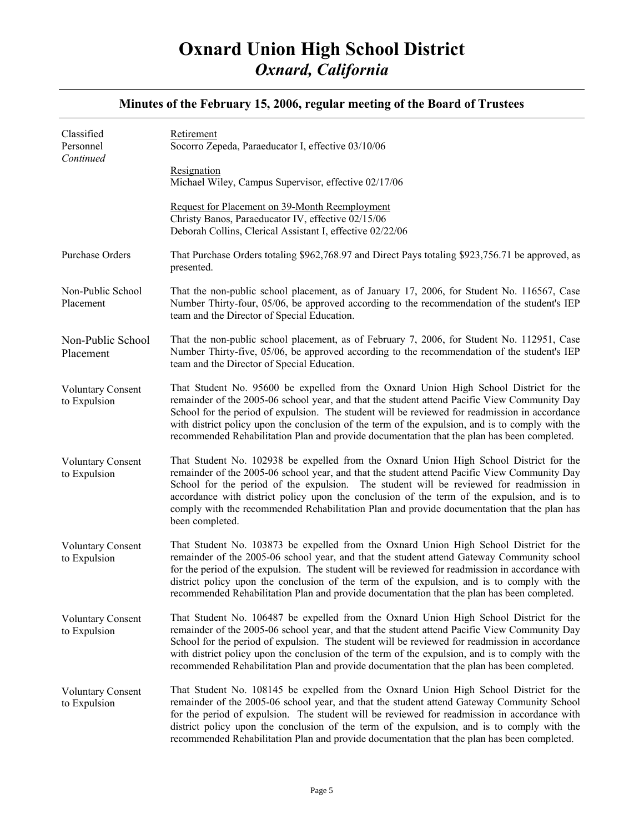| Classified<br>Personnel<br>Continued     | Retirement<br>Socorro Zepeda, Paraeducator I, effective 03/10/06<br>Resignation<br>Michael Wiley, Campus Supervisor, effective 02/17/06                                                                                                                                                                                                                                                                                                                                                            |
|------------------------------------------|----------------------------------------------------------------------------------------------------------------------------------------------------------------------------------------------------------------------------------------------------------------------------------------------------------------------------------------------------------------------------------------------------------------------------------------------------------------------------------------------------|
|                                          | Request for Placement on 39-Month Reemployment<br>Christy Banos, Paraeducator IV, effective 02/15/06<br>Deborah Collins, Clerical Assistant I, effective 02/22/06                                                                                                                                                                                                                                                                                                                                  |
| Purchase Orders                          | That Purchase Orders totaling \$962,768.97 and Direct Pays totaling \$923,756.71 be approved, as<br>presented.                                                                                                                                                                                                                                                                                                                                                                                     |
| Non-Public School<br>Placement           | That the non-public school placement, as of January 17, 2006, for Student No. 116567, Case<br>Number Thirty-four, 05/06, be approved according to the recommendation of the student's IEP<br>team and the Director of Special Education.                                                                                                                                                                                                                                                           |
| Non-Public School<br>Placement           | That the non-public school placement, as of February 7, 2006, for Student No. 112951, Case<br>Number Thirty-five, 05/06, be approved according to the recommendation of the student's IEP<br>team and the Director of Special Education.                                                                                                                                                                                                                                                           |
| <b>Voluntary Consent</b><br>to Expulsion | That Student No. 95600 be expelled from the Oxnard Union High School District for the<br>remainder of the 2005-06 school year, and that the student attend Pacific View Community Day<br>School for the period of expulsion. The student will be reviewed for readmission in accordance<br>with district policy upon the conclusion of the term of the expulsion, and is to comply with the<br>recommended Rehabilitation Plan and provide documentation that the plan has been completed.         |
| <b>Voluntary Consent</b><br>to Expulsion | That Student No. 102938 be expelled from the Oxnard Union High School District for the<br>remainder of the 2005-06 school year, and that the student attend Pacific View Community Day<br>School for the period of the expulsion. The student will be reviewed for readmission in<br>accordance with district policy upon the conclusion of the term of the expulsion, and is to<br>comply with the recommended Rehabilitation Plan and provide documentation that the plan has<br>been completed. |
| <b>Voluntary Consent</b><br>to Expulsion | That Student No. 103873 be expelled from the Oxnard Union High School District for the<br>remainder of the 2005-06 school year, and that the student attend Gateway Community school<br>for the period of the expulsion. The student will be reviewed for readmission in accordance with<br>district policy upon the conclusion of the term of the expulsion, and is to comply with the<br>recommended Rehabilitation Plan and provide documentation that the plan has been completed.             |
| <b>Voluntary Consent</b><br>to Expulsion | That Student No. 106487 be expelled from the Oxnard Union High School District for the<br>remainder of the 2005-06 school year, and that the student attend Pacific View Community Day<br>School for the period of expulsion. The student will be reviewed for readmission in accordance<br>with district policy upon the conclusion of the term of the expulsion, and is to comply with the<br>recommended Rehabilitation Plan and provide documentation that the plan has been completed.        |
| <b>Voluntary Consent</b><br>to Expulsion | That Student No. 108145 be expelled from the Oxnard Union High School District for the<br>remainder of the 2005-06 school year, and that the student attend Gateway Community School<br>for the period of expulsion. The student will be reviewed for readmission in accordance with<br>district policy upon the conclusion of the term of the expulsion, and is to comply with the<br>recommended Rehabilitation Plan and provide documentation that the plan has been completed.                 |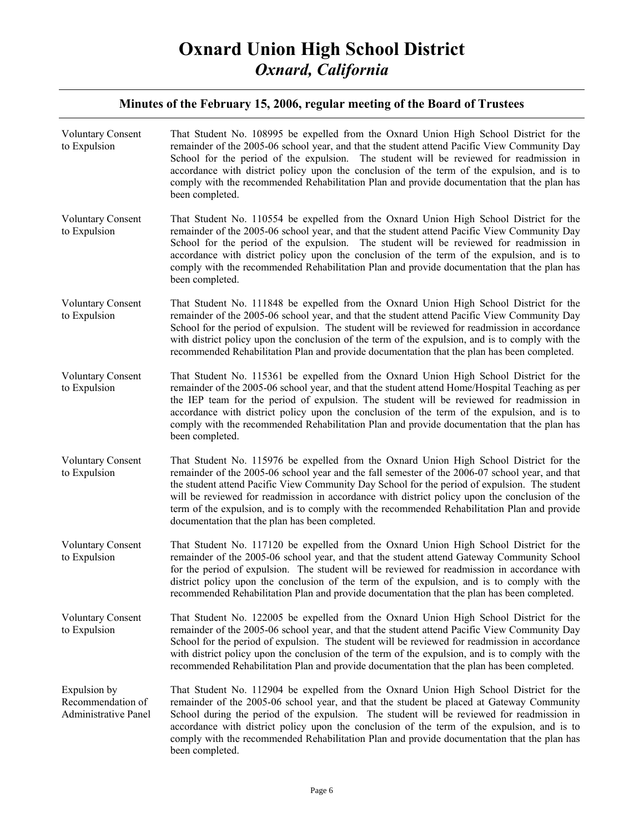| <b>Voluntary Consent</b><br>to Expulsion                  | That Student No. 108995 be expelled from the Oxnard Union High School District for the<br>remainder of the 2005-06 school year, and that the student attend Pacific View Community Day<br>School for the period of the expulsion. The student will be reviewed for readmission in<br>accordance with district policy upon the conclusion of the term of the expulsion, and is to<br>comply with the recommended Rehabilitation Plan and provide documentation that the plan has<br>been completed.                                              |
|-----------------------------------------------------------|-------------------------------------------------------------------------------------------------------------------------------------------------------------------------------------------------------------------------------------------------------------------------------------------------------------------------------------------------------------------------------------------------------------------------------------------------------------------------------------------------------------------------------------------------|
| <b>Voluntary Consent</b><br>to Expulsion                  | That Student No. 110554 be expelled from the Oxnard Union High School District for the<br>remainder of the 2005-06 school year, and that the student attend Pacific View Community Day<br>School for the period of the expulsion. The student will be reviewed for readmission in<br>accordance with district policy upon the conclusion of the term of the expulsion, and is to<br>comply with the recommended Rehabilitation Plan and provide documentation that the plan has<br>been completed.                                              |
| <b>Voluntary Consent</b><br>to Expulsion                  | That Student No. 111848 be expelled from the Oxnard Union High School District for the<br>remainder of the 2005-06 school year, and that the student attend Pacific View Community Day<br>School for the period of expulsion. The student will be reviewed for readmission in accordance<br>with district policy upon the conclusion of the term of the expulsion, and is to comply with the<br>recommended Rehabilitation Plan and provide documentation that the plan has been completed.                                                     |
| <b>Voluntary Consent</b><br>to Expulsion                  | That Student No. 115361 be expelled from the Oxnard Union High School District for the<br>remainder of the 2005-06 school year, and that the student attend Home/Hospital Teaching as per<br>the IEP team for the period of expulsion. The student will be reviewed for readmission in<br>accordance with district policy upon the conclusion of the term of the expulsion, and is to<br>comply with the recommended Rehabilitation Plan and provide documentation that the plan has<br>been completed.                                         |
| <b>Voluntary Consent</b><br>to Expulsion                  | That Student No. 115976 be expelled from the Oxnard Union High School District for the<br>remainder of the 2005-06 school year and the fall semester of the 2006-07 school year, and that<br>the student attend Pacific View Community Day School for the period of expulsion. The student<br>will be reviewed for readmission in accordance with district policy upon the conclusion of the<br>term of the expulsion, and is to comply with the recommended Rehabilitation Plan and provide<br>documentation that the plan has been completed. |
| <b>Voluntary Consent</b><br>to Expulsion                  | That Student No. 117120 be expelled from the Oxnard Union High School District for the<br>remainder of the 2005-06 school year, and that the student attend Gateway Community School<br>for the period of expulsion. The student will be reviewed for readmission in accordance with<br>district policy upon the conclusion of the term of the expulsion, and is to comply with the<br>recommended Rehabilitation Plan and provide documentation that the plan has been completed.                                                              |
| <b>Voluntary Consent</b><br>to Expulsion                  | That Student No. 122005 be expelled from the Oxnard Union High School District for the<br>remainder of the 2005-06 school year, and that the student attend Pacific View Community Day<br>School for the period of expulsion. The student will be reviewed for readmission in accordance<br>with district policy upon the conclusion of the term of the expulsion, and is to comply with the<br>recommended Rehabilitation Plan and provide documentation that the plan has been completed.                                                     |
| Expulsion by<br>Recommendation of<br>Administrative Panel | That Student No. 112904 be expelled from the Oxnard Union High School District for the<br>remainder of the 2005-06 school year, and that the student be placed at Gateway Community<br>School during the period of the expulsion. The student will be reviewed for readmission in<br>accordance with district policy upon the conclusion of the term of the expulsion, and is to<br>comply with the recommended Rehabilitation Plan and provide documentation that the plan has<br>been completed.                                              |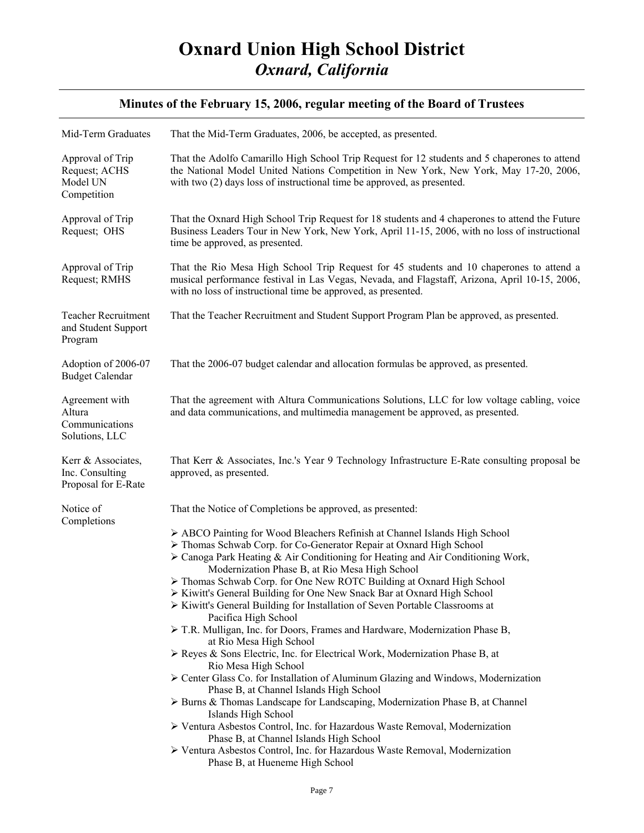| That the Mid-Term Graduates, 2006, be accepted, as presented.                                                                                                                                                                                                                                                                                                                                                                                                                                                                                                                                                                                                                                                                                                                                                                                                                                                                                                                 |
|-------------------------------------------------------------------------------------------------------------------------------------------------------------------------------------------------------------------------------------------------------------------------------------------------------------------------------------------------------------------------------------------------------------------------------------------------------------------------------------------------------------------------------------------------------------------------------------------------------------------------------------------------------------------------------------------------------------------------------------------------------------------------------------------------------------------------------------------------------------------------------------------------------------------------------------------------------------------------------|
| That the Adolfo Camarillo High School Trip Request for 12 students and 5 chaperones to attend<br>the National Model United Nations Competition in New York, New York, May 17-20, 2006,<br>with two (2) days loss of instructional time be approved, as presented.                                                                                                                                                                                                                                                                                                                                                                                                                                                                                                                                                                                                                                                                                                             |
| That the Oxnard High School Trip Request for 18 students and 4 chaperones to attend the Future<br>Business Leaders Tour in New York, New York, April 11-15, 2006, with no loss of instructional<br>time be approved, as presented.                                                                                                                                                                                                                                                                                                                                                                                                                                                                                                                                                                                                                                                                                                                                            |
| That the Rio Mesa High School Trip Request for 45 students and 10 chaperones to attend a<br>musical performance festival in Las Vegas, Nevada, and Flagstaff, Arizona, April 10-15, 2006,<br>with no loss of instructional time be approved, as presented.                                                                                                                                                                                                                                                                                                                                                                                                                                                                                                                                                                                                                                                                                                                    |
| That the Teacher Recruitment and Student Support Program Plan be approved, as presented.                                                                                                                                                                                                                                                                                                                                                                                                                                                                                                                                                                                                                                                                                                                                                                                                                                                                                      |
| That the 2006-07 budget calendar and allocation formulas be approved, as presented.                                                                                                                                                                                                                                                                                                                                                                                                                                                                                                                                                                                                                                                                                                                                                                                                                                                                                           |
| That the agreement with Altura Communications Solutions, LLC for low voltage cabling, voice<br>and data communications, and multimedia management be approved, as presented.                                                                                                                                                                                                                                                                                                                                                                                                                                                                                                                                                                                                                                                                                                                                                                                                  |
| That Kerr & Associates, Inc.'s Year 9 Technology Infrastructure E-Rate consulting proposal be<br>approved, as presented.                                                                                                                                                                                                                                                                                                                                                                                                                                                                                                                                                                                                                                                                                                                                                                                                                                                      |
| That the Notice of Completions be approved, as presented:<br>> ABCO Painting for Wood Bleachers Refinish at Channel Islands High School<br>> Thomas Schwab Corp. for Co-Generator Repair at Oxnard High School<br>> Canoga Park Heating & Air Conditioning for Heating and Air Conditioning Work,<br>Modernization Phase B, at Rio Mesa High School                                                                                                                                                                                                                                                                                                                                                                                                                                                                                                                                                                                                                           |
| > Thomas Schwab Corp. for One New ROTC Building at Oxnard High School<br>> Kiwitt's General Building for One New Snack Bar at Oxnard High School<br>> Kiwitt's General Building for Installation of Seven Portable Classrooms at<br>Pacifica High School<br>> T.R. Mulligan, Inc. for Doors, Frames and Hardware, Modernization Phase B,<br>at Rio Mesa High School<br>$\triangleright$ Reyes & Sons Electric, Inc. for Electrical Work, Modernization Phase B, at<br>Rio Mesa High School<br>Center Glass Co. for Installation of Aluminum Glazing and Windows, Modernization<br>Phase B, at Channel Islands High School<br>> Burns & Thomas Landscape for Landscaping, Modernization Phase B, at Channel<br>Islands High School<br>> Ventura Asbestos Control, Inc. for Hazardous Waste Removal, Modernization<br>Phase B, at Channel Islands High School<br>> Ventura Asbestos Control, Inc. for Hazardous Waste Removal, Modernization<br>Phase B, at Hueneme High School |
|                                                                                                                                                                                                                                                                                                                                                                                                                                                                                                                                                                                                                                                                                                                                                                                                                                                                                                                                                                               |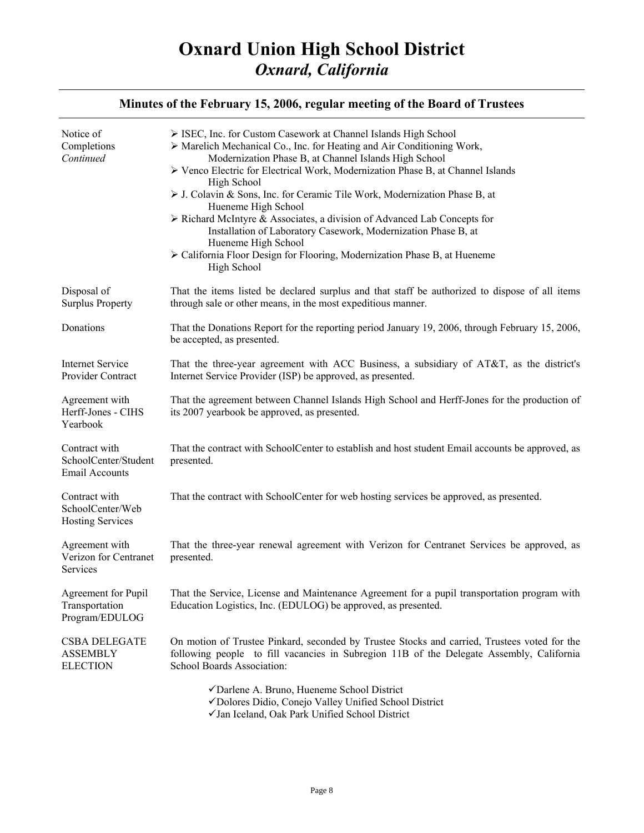| Notice of<br>Completions<br>Continued                          | > ISEC, Inc. for Custom Casework at Channel Islands High School<br>> Marelich Mechanical Co., Inc. for Heating and Air Conditioning Work,<br>Modernization Phase B, at Channel Islands High School<br>≻ Venco Electric for Electrical Work, Modernization Phase B, at Channel Islands<br>High School<br>$\triangleright$ J. Colavin & Sons, Inc. for Ceramic Tile Work, Modernization Phase B, at<br>Hueneme High School<br>$\triangleright$ Richard McIntyre & Associates, a division of Advanced Lab Concepts for<br>Installation of Laboratory Casework, Modernization Phase B, at<br>Hueneme High School<br>> California Floor Design for Flooring, Modernization Phase B, at Hueneme<br>High School |
|----------------------------------------------------------------|----------------------------------------------------------------------------------------------------------------------------------------------------------------------------------------------------------------------------------------------------------------------------------------------------------------------------------------------------------------------------------------------------------------------------------------------------------------------------------------------------------------------------------------------------------------------------------------------------------------------------------------------------------------------------------------------------------|
| Disposal of<br><b>Surplus Property</b>                         | That the items listed be declared surplus and that staff be authorized to dispose of all items<br>through sale or other means, in the most expeditious manner.                                                                                                                                                                                                                                                                                                                                                                                                                                                                                                                                           |
| Donations                                                      | That the Donations Report for the reporting period January 19, 2006, through February 15, 2006,<br>be accepted, as presented.                                                                                                                                                                                                                                                                                                                                                                                                                                                                                                                                                                            |
| <b>Internet Service</b><br>Provider Contract                   | That the three-year agreement with ACC Business, a subsidiary of AT&T, as the district's<br>Internet Service Provider (ISP) be approved, as presented.                                                                                                                                                                                                                                                                                                                                                                                                                                                                                                                                                   |
| Agreement with<br>Herff-Jones - CIHS<br>Yearbook               | That the agreement between Channel Islands High School and Herff-Jones for the production of<br>its 2007 yearbook be approved, as presented.                                                                                                                                                                                                                                                                                                                                                                                                                                                                                                                                                             |
| Contract with<br>SchoolCenter/Student<br><b>Email Accounts</b> | That the contract with SchoolCenter to establish and host student Email accounts be approved, as<br>presented.                                                                                                                                                                                                                                                                                                                                                                                                                                                                                                                                                                                           |
| Contract with<br>SchoolCenter/Web<br><b>Hosting Services</b>   | That the contract with SchoolCenter for web hosting services be approved, as presented.                                                                                                                                                                                                                                                                                                                                                                                                                                                                                                                                                                                                                  |
| Agreement with<br>Verizon for Centranet<br>Services            | That the three-year renewal agreement with Verizon for Centranet Services be approved, as<br>presented.                                                                                                                                                                                                                                                                                                                                                                                                                                                                                                                                                                                                  |
| Agreement for Pupil<br>Transportation<br>Program/EDULOG        | That the Service, License and Maintenance Agreement for a pupil transportation program with<br>Education Logistics, Inc. (EDULOG) be approved, as presented.                                                                                                                                                                                                                                                                                                                                                                                                                                                                                                                                             |
| <b>CSBA DELEGATE</b><br><b>ASSEMBLY</b><br><b>ELECTION</b>     | On motion of Trustee Pinkard, seconded by Trustee Stocks and carried, Trustees voted for the<br>following people to fill vacancies in Subregion 11B of the Delegate Assembly, California<br>School Boards Association:                                                                                                                                                                                                                                                                                                                                                                                                                                                                                   |
|                                                                | √Darlene A. Bruno, Hueneme School District<br>√Dolores Didio, Conejo Valley Unified School District<br>√Jan Iceland, Oak Park Unified School District                                                                                                                                                                                                                                                                                                                                                                                                                                                                                                                                                    |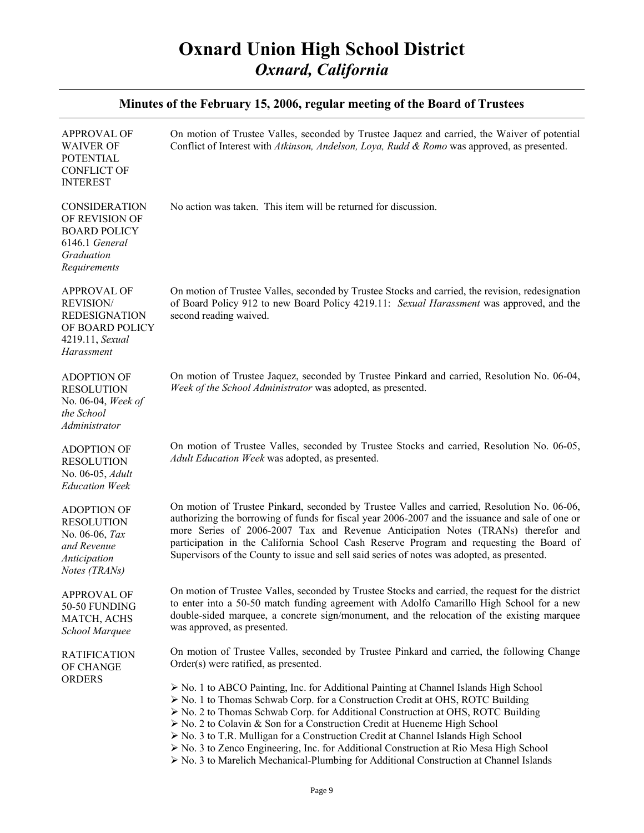| Minutes of the February 15, 2006, regular meeting of the Board of Trustees                                         |                                                                                                                                                                                                                                                                                                                                                                                                                                                                                                                                                                                                                   |  |
|--------------------------------------------------------------------------------------------------------------------|-------------------------------------------------------------------------------------------------------------------------------------------------------------------------------------------------------------------------------------------------------------------------------------------------------------------------------------------------------------------------------------------------------------------------------------------------------------------------------------------------------------------------------------------------------------------------------------------------------------------|--|
| <b>APPROVAL OF</b><br><b>WAIVER OF</b><br><b>POTENTIAL</b><br><b>CONFLICT OF</b><br><b>INTEREST</b>                | On motion of Trustee Valles, seconded by Trustee Jaquez and carried, the Waiver of potential<br>Conflict of Interest with Atkinson, Andelson, Loya, Rudd & Romo was approved, as presented.                                                                                                                                                                                                                                                                                                                                                                                                                       |  |
| <b>CONSIDERATION</b><br>OF REVISION OF<br><b>BOARD POLICY</b><br>6146.1 General<br>Graduation<br>Requirements      | No action was taken. This item will be returned for discussion.                                                                                                                                                                                                                                                                                                                                                                                                                                                                                                                                                   |  |
| <b>APPROVAL OF</b><br><b>REVISION/</b><br><b>REDESIGNATION</b><br>OF BOARD POLICY<br>4219.11, Sexual<br>Harassment | On motion of Trustee Valles, seconded by Trustee Stocks and carried, the revision, redesignation<br>of Board Policy 912 to new Board Policy 4219.11: Sexual Harassment was approved, and the<br>second reading waived.                                                                                                                                                                                                                                                                                                                                                                                            |  |
| <b>ADOPTION OF</b><br><b>RESOLUTION</b><br>No. 06-04, Week of<br>the School<br>Administrator                       | On motion of Trustee Jaquez, seconded by Trustee Pinkard and carried, Resolution No. 06-04,<br>Week of the School Administrator was adopted, as presented.                                                                                                                                                                                                                                                                                                                                                                                                                                                        |  |
| <b>ADOPTION OF</b><br><b>RESOLUTION</b><br>No. 06-05, Adult<br><b>Education Week</b>                               | On motion of Trustee Valles, seconded by Trustee Stocks and carried, Resolution No. 06-05,<br>Adult Education Week was adopted, as presented.                                                                                                                                                                                                                                                                                                                                                                                                                                                                     |  |
| <b>ADOPTION OF</b><br><b>RESOLUTION</b><br>No. 06-06, Tax<br>and Revenue<br><b>Anticipation</b><br>Notes (TRANs)   | On motion of Trustee Pinkard, seconded by Trustee Valles and carried, Resolution No. 06-06,<br>authorizing the borrowing of funds for fiscal year 2006-2007 and the issuance and sale of one or<br>more Series of 2006-2007 Tax and Revenue Anticipation Notes (TRANs) therefor and<br>participation in the California School Cash Reserve Program and requesting the Board of<br>Supervisors of the County to issue and sell said series of notes was adopted, as presented.                                                                                                                                     |  |
| <b>APPROVAL OF</b><br>50-50 FUNDING<br>MATCH, ACHS<br>School Marquee                                               | On motion of Trustee Valles, seconded by Trustee Stocks and carried, the request for the district<br>to enter into a 50-50 match funding agreement with Adolfo Camarillo High School for a new<br>double-sided marquee, a concrete sign/monument, and the relocation of the existing marquee<br>was approved, as presented.                                                                                                                                                                                                                                                                                       |  |
| <b>RATIFICATION</b><br>OF CHANGE<br><b>ORDERS</b>                                                                  | On motion of Trustee Valles, seconded by Trustee Pinkard and carried, the following Change<br>Order(s) were ratified, as presented.<br>$\triangleright$ No. 1 to ABCO Painting, Inc. for Additional Painting at Channel Islands High School<br>> No. 1 to Thomas Schwab Corp. for a Construction Credit at OHS, ROTC Building<br>$\triangleright$ No. 2 to Thomas Schwab Corp. for Additional Construction at OHS, ROTC Building<br>$\triangleright$ No. 2 to Colavin & Son for a Construction Credit at Hueneme High School<br>> No. 3 to T.R. Mulligan for a Construction Credit at Channel Islands High School |  |

¾ No. 3 to Zenco Engineering, Inc. for Additional Construction at Rio Mesa High School ¾ No. 3 to Marelich Mechanical-Plumbing for Additional Construction at Channel Islands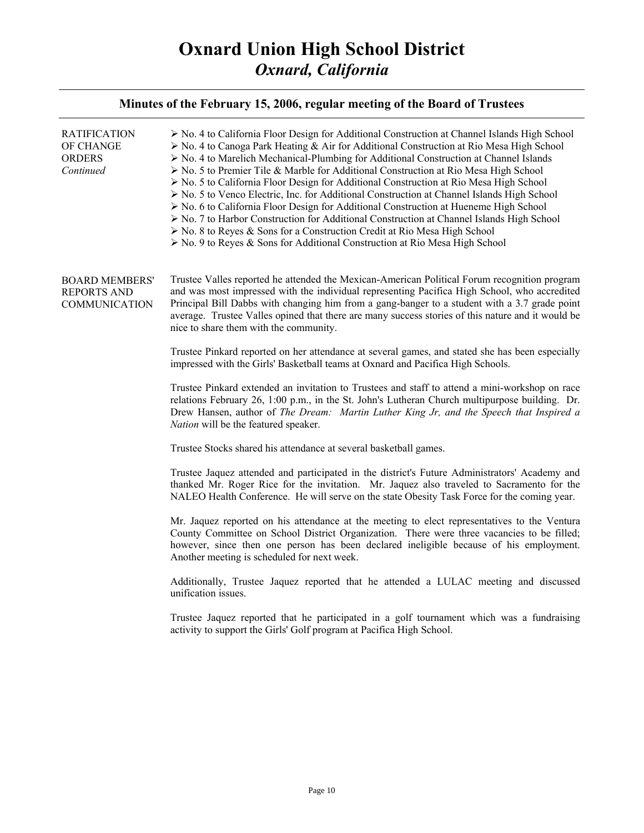| <b>RATIFICATION</b><br>OF CHANGE<br><b>ORDERS</b><br>Continued      | $\triangleright$ No. 4 to California Floor Design for Additional Construction at Channel Islands High School<br>> No. 4 to Canoga Park Heating & Air for Additional Construction at Rio Mesa High School<br>> No. 4 to Marelich Mechanical-Plumbing for Additional Construction at Channel Islands<br>$\triangleright$ No. 5 to Premier Tile & Marble for Additional Construction at Rio Mesa High School<br>$\triangleright$ No. 5 to California Floor Design for Additional Construction at Rio Mesa High School<br>$\triangleright$ No. 5 to Venco Electric, Inc. for Additional Construction at Channel Islands High School<br>$\triangleright$ No. 6 to California Floor Design for Additional Construction at Hueneme High School<br>$\triangleright$ No. 7 to Harbor Construction for Additional Construction at Channel Islands High School<br>$\triangleright$ No. 8 to Reyes & Sons for a Construction Credit at Rio Mesa High School<br>$\triangleright$ No. 9 to Reyes & Sons for Additional Construction at Rio Mesa High School |
|---------------------------------------------------------------------|-----------------------------------------------------------------------------------------------------------------------------------------------------------------------------------------------------------------------------------------------------------------------------------------------------------------------------------------------------------------------------------------------------------------------------------------------------------------------------------------------------------------------------------------------------------------------------------------------------------------------------------------------------------------------------------------------------------------------------------------------------------------------------------------------------------------------------------------------------------------------------------------------------------------------------------------------------------------------------------------------------------------------------------------------|
| <b>BOARD MEMBERS'</b><br><b>REPORTS AND</b><br><b>COMMUNICATION</b> | Trustee Valles reported he attended the Mexican-American Political Forum recognition program<br>and was most impressed with the individual representing Pacifica High School, who accredited<br>Principal Bill Dabbs with changing him from a gang-banger to a student with a 3.7 grade point<br>average. Trustee Valles opined that there are many success stories of this nature and it would be<br>nice to share them with the community.                                                                                                                                                                                                                                                                                                                                                                                                                                                                                                                                                                                                  |
|                                                                     | Trustee Pinkard reported on her attendance at several games, and stated she has been especially<br>impressed with the Girls' Basketball teams at Oxnard and Pacifica High Schools.                                                                                                                                                                                                                                                                                                                                                                                                                                                                                                                                                                                                                                                                                                                                                                                                                                                            |
|                                                                     | Trustee Pinkard extended an invitation to Trustees and staff to attend a mini-workshop on race<br>relations February 26, 1:00 p.m., in the St. John's Lutheran Church multipurpose building. Dr.<br>Drew Hansen, author of The Dream: Martin Luther King Jr, and the Speech that Inspired a<br>Nation will be the featured speaker.                                                                                                                                                                                                                                                                                                                                                                                                                                                                                                                                                                                                                                                                                                           |
|                                                                     | Trustee Stocks shared his attendance at several basketball games.                                                                                                                                                                                                                                                                                                                                                                                                                                                                                                                                                                                                                                                                                                                                                                                                                                                                                                                                                                             |
|                                                                     | Trustee Jaquez attended and participated in the district's Future Administrators' Academy and<br>thanked Mr. Roger Rice for the invitation. Mr. Jaquez also traveled to Sacramento for the<br>NALEO Health Conference. He will serve on the state Obesity Task Force for the coming year.                                                                                                                                                                                                                                                                                                                                                                                                                                                                                                                                                                                                                                                                                                                                                     |
|                                                                     | Mr. Jaquez reported on his attendance at the meeting to elect representatives to the Ventura<br>County Committee on School District Organization. There were three vacancies to be filled;<br>however, since then one person has been declared ineligible because of his employment.<br>Another meeting is scheduled for next week.                                                                                                                                                                                                                                                                                                                                                                                                                                                                                                                                                                                                                                                                                                           |
|                                                                     | Additionally, Trustee Jaquez reported that he attended a LULAC meeting and discussed<br>unification issues.                                                                                                                                                                                                                                                                                                                                                                                                                                                                                                                                                                                                                                                                                                                                                                                                                                                                                                                                   |
|                                                                     | Trustee Jaquez reported that he participated in a golf tournament which was a fundraising<br>activity to support the Girls' Golf program at Pacifica High School.                                                                                                                                                                                                                                                                                                                                                                                                                                                                                                                                                                                                                                                                                                                                                                                                                                                                             |
|                                                                     |                                                                                                                                                                                                                                                                                                                                                                                                                                                                                                                                                                                                                                                                                                                                                                                                                                                                                                                                                                                                                                               |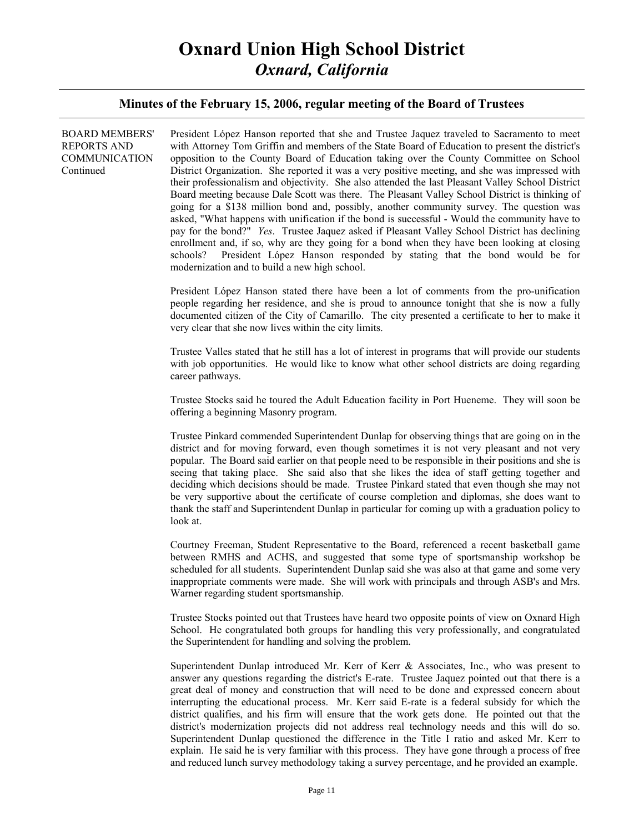| <b>BOARD MEMBERS'</b><br><b>REPORTS AND</b><br><b>COMMUNICATION</b><br>Continued | President López Hanson reported that she and Trustee Jaquez traveled to Sacramento to meet<br>with Attorney Tom Griffin and members of the State Board of Education to present the district's<br>opposition to the County Board of Education taking over the County Committee on School<br>District Organization. She reported it was a very positive meeting, and she was impressed with<br>their professionalism and objectivity. She also attended the last Pleasant Valley School District<br>Board meeting because Dale Scott was there. The Pleasant Valley School District is thinking of<br>going for a \$138 million bond and, possibly, another community survey. The question was<br>asked, "What happens with unification if the bond is successful - Would the community have to<br>pay for the bond?" <i>Yes</i> . Trustee Jaquez asked if Pleasant Valley School District has declining<br>enrollment and, if so, why are they going for a bond when they have been looking at closing<br>President López Hanson responded by stating that the bond would be for<br>schools?<br>modernization and to build a new high school. |
|----------------------------------------------------------------------------------|----------------------------------------------------------------------------------------------------------------------------------------------------------------------------------------------------------------------------------------------------------------------------------------------------------------------------------------------------------------------------------------------------------------------------------------------------------------------------------------------------------------------------------------------------------------------------------------------------------------------------------------------------------------------------------------------------------------------------------------------------------------------------------------------------------------------------------------------------------------------------------------------------------------------------------------------------------------------------------------------------------------------------------------------------------------------------------------------------------------------------------------------|
|                                                                                  | President López Hanson stated there have been a lot of comments from the pro-unification<br>people regarding her residence, and she is proud to announce tonight that she is now a fully<br>documented citizen of the City of Camarillo. The city presented a certificate to her to make it<br>very clear that she now lives within the city limits.                                                                                                                                                                                                                                                                                                                                                                                                                                                                                                                                                                                                                                                                                                                                                                                         |
|                                                                                  | Trustee Valles stated that he still has a lot of interest in programs that will provide our students<br>with job opportunities. He would like to know what other school districts are doing regarding<br>career pathways.                                                                                                                                                                                                                                                                                                                                                                                                                                                                                                                                                                                                                                                                                                                                                                                                                                                                                                                    |
|                                                                                  | Trustee Stocks said he toured the Adult Education facility in Port Hueneme. They will soon be<br>offering a beginning Masonry program.                                                                                                                                                                                                                                                                                                                                                                                                                                                                                                                                                                                                                                                                                                                                                                                                                                                                                                                                                                                                       |
|                                                                                  | Trustee Pinkard commended Superintendent Dunlap for observing things that are going on in the<br>district and for moving forward, even though sometimes it is not very pleasant and not very<br>popular. The Board said earlier on that people need to be responsible in their positions and she is<br>seeing that taking place. She said also that she likes the idea of staff getting together and<br>deciding which decisions should be made. Trustee Pinkard stated that even though she may not<br>be very supportive about the certificate of course completion and diplomas, she does want to<br>thank the staff and Superintendent Dunlap in particular for coming up with a graduation policy to<br>look at.                                                                                                                                                                                                                                                                                                                                                                                                                        |
|                                                                                  | Courtney Freeman, Student Representative to the Board, referenced a recent basketball game<br>between RMHS and ACHS, and suggested that some type of sportsmanship workshop be<br>scheduled for all students. Superintendent Dunlap said she was also at that game and some very<br>inappropriate comments were made. She will work with principals and through ASB's and Mrs.<br>Warner regarding student sportsmanship.                                                                                                                                                                                                                                                                                                                                                                                                                                                                                                                                                                                                                                                                                                                    |
|                                                                                  | Trustee Stocks pointed out that Trustees have heard two opposite points of view on Oxnard High<br>School. He congratulated both groups for handling this very professionally, and congratulated<br>the Superintendent for handling and solving the problem.                                                                                                                                                                                                                                                                                                                                                                                                                                                                                                                                                                                                                                                                                                                                                                                                                                                                                  |
|                                                                                  | Superintendent Dunlap introduced Mr. Kerr of Kerr & Associates, Inc., who was present to<br>answer any questions regarding the district's E-rate. Trustee Jaquez pointed out that there is a<br>great deal of money and construction that will need to be done and expressed concern about<br>interrupting the educational process. Mr. Kerr said E-rate is a federal subsidy for which the<br>district qualifies, and his firm will ensure that the work gets done. He pointed out that the<br>district's modernization projects did not address real technology needs and this will do so.<br>Superintendent Dunlap questioned the difference in the Title I ratio and asked Mr. Kerr to                                                                                                                                                                                                                                                                                                                                                                                                                                                   |

explain. He said he is very familiar with this process. They have gone through a process of free and reduced lunch survey methodology taking a survey percentage, and he provided an example.